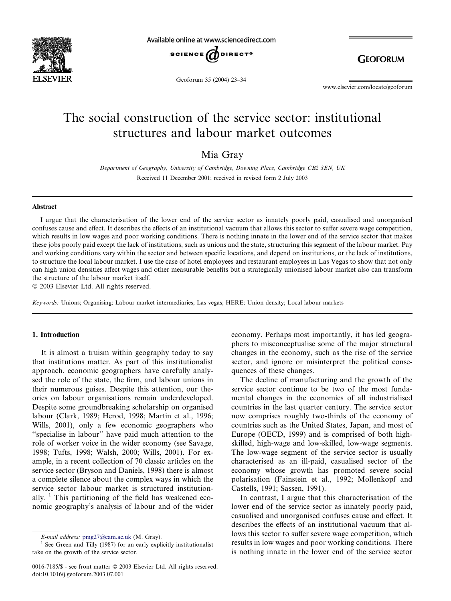

Available online at www.sciencedirect.com



**GEOFORUM** 

Geoforum 35 (2004) 23–34

www.elsevier.com/locate/geoforum

# The social construction of the service sector: institutional structures and labour market outcomes

Mia Gray

Department of Geography, University of Cambridge, Downing Place, Cambridge CB2 3EN, UK Received 11 December 2001; received in revised form 2 July 2003

#### Abstract

Iargue that the characterisation of the lower end of the service sector as innately poorly paid, casualised and unorganised confuses cause and effect. It describes the effects of an institutional vacuum that allows this sector to suffer severe wage competition, which results in low wages and poor working conditions. There is nothing innate in the lower end of the service sector that makes these jobs poorly paid except the lack of institutions, such as unions and the state, structuring this segment of the labour market. Pay and working conditions vary within the sector and between specific locations, and depend on institutions, or the lack of institutions, to structure the local labour market. I use the case of hotel employees and restaurant employees in Las Vegas to show that not only can high union densities affect wages and other measurable benefits but a strategically unionised labour market also can transform the structure of the labour market itself.

2003 Elsevier Ltd. All rights reserved.

Keywords: Unions; Organising; Labour market intermediaries; Las vegas; HERE; Union density; Local labour markets

#### 1. Introduction

It is almost a truism within geography today to say that institutions matter. As part of this institutionalist approach, economic geographers have carefully analysed the role of the state, the firm, and labour unions in their numerous guises. Despite this attention, our theories on labour organisations remain underdeveloped. Despite some groundbreaking scholarship on organised labour (Clark, 1989; Herod, 1998; Martin et al., 1996; Wills, 2001), only a few economic geographers who ''specialise in labour'' have paid much attention to the role of worker voice in the wider economy (see Savage, 1998; Tufts, 1998; Walsh, 2000; Wills, 2001). For example, in a recent collection of 70 classic articles on the service sector (Bryson and Daniels, 1998) there is almost a complete silence about the complex ways in which the service sector labour market is structured institutionally.  $\frac{1}{1}$  This partitioning of the field has weakened economic geography's analysis of labour and of the wider

economy. Perhaps most importantly, it has led geographers to misconceptualise some of the major structural changes in the economy, such as the rise of the service sector, and ignore or misinterpret the political consequences of these changes.

The decline of manufacturing and the growth of the service sector continue to be two of the most fundamental changes in the economies of all industrialised countries in the last quarter century. The service sector now comprises roughly two-thirds of the economy of countries such as the United States, Japan, and most of Europe (OECD, 1999) and is comprised of both highskilled, high-wage and low-skilled, low-wage segments. The low-wage segment of the service sector is usually characterised as an ill-paid, casualised sector of the economy whose growth has promoted severe social polarisation (Fainstein et al., 1992; Mollenkopf and Castells, 1991; Sassen, 1991).

In contrast, I argue that this characterisation of the lower end of the service sector as innately poorly paid, casualised and unorganised confuses cause and effect. It describes the effects of an institutional vacuum that allows this sector to suffer severe wage competition, which results in low wages and poor working conditions. There is nothing innate in the lower end of the service sector

E-mail address: [pmg27@cam.ac.uk](mail to: pmg27@cam.ac.uk) (M. Gray). <sup>1</sup> See Green and Tilly (1987) for an early explicitly institutionalist take on the growth of the service sector.

<sup>0016-7185/\$ -</sup> see front matter © 2003 Elsevier Ltd. All rights reserved. doi:10.1016/j.geoforum.2003.07.001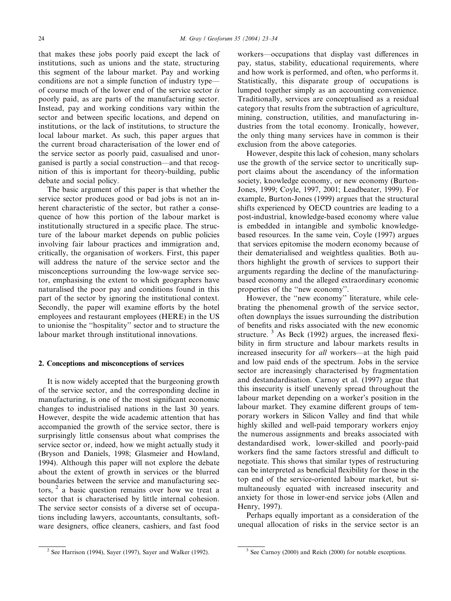that makes these jobs poorly paid except the lack of institutions, such as unions and the state, structuring this segment of the labour market. Pay and working conditions are not a simple function of industry type–– of course much of the lower end of the service sector is poorly paid, as are parts of the manufacturing sector. Instead, pay and working conditions vary within the sector and between specific locations, and depend on institutions, or the lack of institutions, to structure the local labour market. As such, this paper argues that the current broad characterisation of the lower end of the service sector as poorly paid, casualised and unorganised is partly a social construction––and that recognition of this is important for theory-building, public debate and social policy.

The basic argument of this paper is that whether the service sector produces good or bad jobs is not an inherent characteristic of the sector, but rather a consequence of how this portion of the labour market is institutionally structured in a specific place. The structure of the labour market depends on public policies involving fair labour practices and immigration and, critically, the organisation of workers. First, this paper will address the nature of the service sector and the misconceptions surrounding the low-wage service sector, emphasising the extent to which geographers have naturalised the poor pay and conditions found in this part of the sector by ignoring the institutional context. Secondly, the paper will examine efforts by the hotel employees and restaurant employees (HERE) in the US to unionise the ''hospitality'' sector and to structure the labour market through institutional innovations.

### 2. Conceptions and misconceptions of services

It is now widely accepted that the burgeoning growth of the service sector, and the corresponding decline in manufacturing, is one of the most significant economic changes to industrialised nations in the last 30 years. However, despite the wide academic attention that has accompanied the growth of the service sector, there is surprisingly little consensus about what comprises the service sector or, indeed, how we might actually study it (Bryson and Daniels, 1998; Glasmeier and Howland, 1994). Although this paper will not explore the debate about the extent of growth in services or the blurred boundaries between the service and manufacturing sectors,  $2$  a basic question remains over how we treat a sector that is characterised by little internal cohesion. The service sector consists of a diverse set of occupations including lawyers, accountants, consultants, software designers, office cleaners, cashiers, and fast food

workers––occupations that display vast differences in pay, status, stability, educational requirements, where and how work is performed, and often, who performs it. Statistically, this disparate group of occupations is lumped together simply as an accounting convenience. Traditionally, services are conceptualised as a residual category that results from the subtraction of agriculture, mining, construction, utilities, and manufacturing industries from the total economy. Ironically, however, the only thing many services have in common is their exclusion from the above categories.

However, despite this lack of cohesion, many scholars use the growth of the service sector to uncritically support claims about the ascendancy of the information society, knowledge economy, or new economy (Burton-Jones, 1999; Coyle, 1997, 2001; Leadbeater, 1999). For example, Burton-Jones (1999) argues that the structural shifts experienced by OECD countries are leading to a post-industrial, knowledge-based economy where value is embedded in intangible and symbolic knowledgebased resources. In the same vein, Coyle (1997) argues that services epitomise the modern economy because of their dematerialised and weightless qualities. Both authors highlight the growth of services to support their arguments regarding the decline of the manufacturingbased economy and the alleged extraordinary economic properties of the ''new economy''.

However, the ''new economy'' literature, while celebrating the phenomenal growth of the service sector, often downplays the issues surrounding the distribution of benefits and risks associated with the new economic structure.  $3$  As Beck (1992) argues, the increased flexibility in firm structure and labour markets results in increased insecurity for all workers—at the high paid and low paid ends of the spectrum. Jobs in the service sector are increasingly characterised by fragmentation and destandardisation. Carnoy et al. (1997) argue that this insecurity is itself unevenly spread throughout the labour market depending on a worker's position in the labour market. They examine different groups of temporary workers in Silicon Valley and find that while highly skilled and well-paid temporary workers enjoy the numerous assignments and breaks associated with destandardised work, lower-skilled and poorly-paid workers find the same factors stressful and difficult to negotiate. This shows that similar types of restructuring can be interpreted as beneficial flexibility for those in the top end of the service-oriented labour market, but simultaneously equated with increased insecurity and anxiety for those in lower-end service jobs (Allen and Henry, 1997).

Perhaps equally important as a consideration of the unequal allocation of risks in the service sector is an

<sup>&</sup>lt;sup>2</sup> See Harrison (1994), Sayer (1997), Sayer and Walker (1992). <sup>3</sup> See Carnoy (2000) and Reich (2000) for notable exceptions.